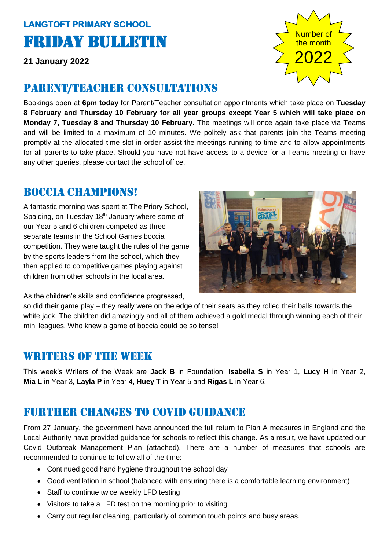# **LANGTOFT PRIMARY SCHOOL**  Friday Bulletin

**21 January 2022**

#### Parent/teacher consultations

Bookings open at **6pm today** for Parent/Teacher consultation appointments which take place on **Tuesday 8 February and Thursday 10 February for all year groups except Year 5 which will take place on Monday 7, Tuesday 8 and Thursday 10 February.** The meetings will once again take place via Teams and will be limited to a maximum of 10 minutes. We politely ask that parents join the Teams meeting promptly at the allocated time slot in order assist the meetings running to time and to allow appointments for all parents to take place. Should you have not have access to a device for a Teams meeting or have any other queries, please contact the school office.

#### Boccia champions!

A fantastic morning was spent at The Priory School, Spalding, on Tuesday 18<sup>th</sup> January where some of our Year 5 and 6 children competed as three separate teams in the School Games boccia competition. They were taught the rules of the game by the sports leaders from the school, which they then applied to competitive games playing against children from other schools in the local area.

As the children's skills and confidence progressed,

so did their game play – they really were on the edge of their seats as they rolled their balls towards the white jack. The children did amazingly and all of them achieved a gold medal through winning each of their mini leagues. Who knew a game of boccia could be so tense!

#### WRITERS OF THE WEEK

This week's Writers of the Week are **Jack B** in Foundation, **Isabella S** in Year 1, **Lucy H** in Year 2, **Mia L** in Year 3, **Layla P** in Year 4, **Huey T** in Year 5 and **Rigas L** in Year 6.

## Further changes to covid guidance

From 27 January, the government have announced the full return to Plan A measures in England and the Local Authority have provided guidance for schools to reflect this change. As a result, we have updated our Covid Outbreak Management Plan (attached). There are a number of measures that schools are recommended to continue to follow all of the time:

- Continued good hand hygiene throughout the school day
- Good ventilation in school (balanced with ensuring there is a comfortable learning environment)
- Staff to continue twice weekly LFD testing
- Visitors to take a LFD test on the morning prior to visiting
- Carry out regular cleaning, particularly of common touch points and busy areas.



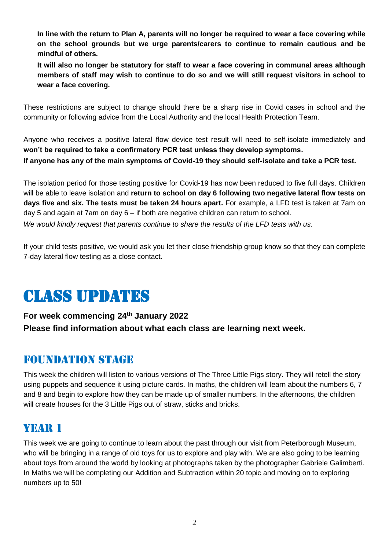**In line with the return to Plan A, parents will no longer be required to wear a face covering while on the school grounds but we urge parents/carers to continue to remain cautious and be mindful of others.** 

**It will also no longer be statutory for staff to wear a face covering in communal areas although members of staff may wish to continue to do so and we will still request visitors in school to wear a face covering.** 

These restrictions are subject to change should there be a sharp rise in Covid cases in school and the community or following advice from the Local Authority and the local Health Protection Team.

Anyone who receives a positive lateral flow device test result will need to self-isolate immediately and **won't be required to take a confirmatory PCR test unless they develop symptoms. If anyone has any of the main symptoms of Covid-19 they should self-isolate and take a PCR test.**

The isolation period for those testing positive for Covid-19 has now been reduced to five full days. Children will be able to leave isolation and **return to school on day 6 following two negative lateral flow tests on days five and six. The tests must be taken 24 hours apart.** For example, a LFD test is taken at 7am on day 5 and again at 7am on day 6 – if both are negative children can return to school. *We would kindly request that parents continue to share the results of the LFD tests with us.* 

If your child tests positive, we would ask you let their close friendship group know so that they can complete 7-day lateral flow testing as a close contact.

# Class updates

#### **For week commencing 24th January 2022 Please find information about what each class are learning next week.**

#### Foundation stage

This week the children will listen to various versions of The Three Little Pigs story. They will retell the story using puppets and sequence it using picture cards. In maths, the children will learn about the numbers 6, 7 and 8 and begin to explore how they can be made up of smaller numbers. In the afternoons, the children will create houses for the 3 Little Pigs out of straw, sticks and bricks.

#### YEAR 1

This week we are going to continue to learn about the past through our visit from Peterborough Museum, who will be bringing in a range of old toys for us to explore and play with. We are also going to be learning about toys from around the world by looking at photographs taken by the photographer Gabriele Galimberti. In Maths we will be completing our Addition and Subtraction within 20 topic and moving on to exploring numbers up to 50!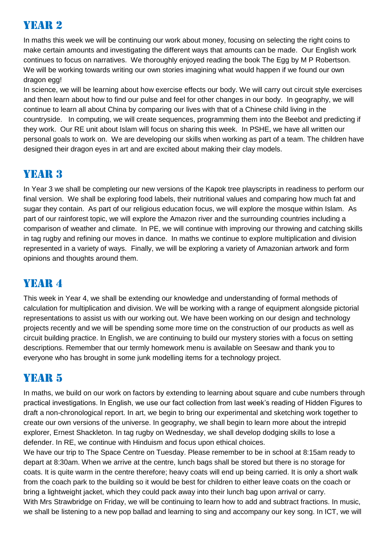## Year 2

In maths this week we will be continuing our work about money, focusing on selecting the right coins to make certain amounts and investigating the different ways that amounts can be made. Our English work continues to focus on narratives. We thoroughly enjoyed reading the book The Egg by M P Robertson. We will be working towards writing our own stories imagining what would happen if we found our own dragon egg!

In science, we will be learning about how exercise effects our body. We will carry out circuit style exercises and then learn about how to find our pulse and feel for other changes in our body. In geography, we will continue to learn all about China by comparing our lives with that of a Chinese child living in the countryside. In computing, we will create sequences, programming them into the Beebot and predicting if they work. Our RE unit about Islam will focus on sharing this week. In PSHE, we have all written our personal goals to work on. We are developing our skills when working as part of a team. The children have designed their dragon eyes in art and are excited about making their clay models.

# YEAR 3

In Year 3 we shall be completing our new versions of the Kapok tree playscripts in readiness to perform our final version. We shall be exploring food labels, their nutritional values and comparing how much fat and sugar they contain. As part of our religious education focus, we will explore the mosque within Islam. As part of our rainforest topic, we will explore the Amazon river and the surrounding countries including a comparison of weather and climate. In PE, we will continue with improving our throwing and catching skills in tag rugby and refining our moves in dance. In maths we continue to explore multiplication and division represented in a variety of ways. Finally, we will be exploring a variety of Amazonian artwork and form opinions and thoughts around them.

# YEAR 4

This week in Year 4, we shall be extending our knowledge and understanding of formal methods of calculation for multiplication and division. We will be working with a range of equipment alongside pictorial representations to assist us with our working out. We have been working on our design and technology projects recently and we will be spending some more time on the construction of our products as well as circuit building practice. In English, we are continuing to build our mystery stories with a focus on setting descriptions. Remember that our termly homework menu is available on Seesaw and thank you to everyone who has brought in some junk modelling items for a technology project.

# YEAR 5

In maths, we build on our work on factors by extending to learning about square and cube numbers through practical investigations. In English, we use our fact collection from last week's reading of Hidden Figures to draft a non-chronological report. In art, we begin to bring our experimental and sketching work together to create our own versions of the universe. In geography, we shall begin to learn more about the intrepid explorer, Ernest Shackleton. In tag rugby on Wednesday, we shall develop dodging skills to lose a defender. In RE, we continue with Hinduism and focus upon ethical choices.

We have our trip to The Space Centre on Tuesday. Please remember to be in school at 8:15am ready to depart at 8:30am. When we arrive at the centre, lunch bags shall be stored but there is no storage for coats. It is quite warm in the centre therefore; heavy coats will end up being carried. It is only a short walk from the coach park to the building so it would be best for children to either leave coats on the coach or bring a lightweight jacket, which they could pack away into their lunch bag upon arrival or carry. With Mrs Strawbridge on Friday, we will be continuing to learn how to add and subtract fractions. In music, we shall be listening to a new pop ballad and learning to sing and accompany our key song. In ICT, we will